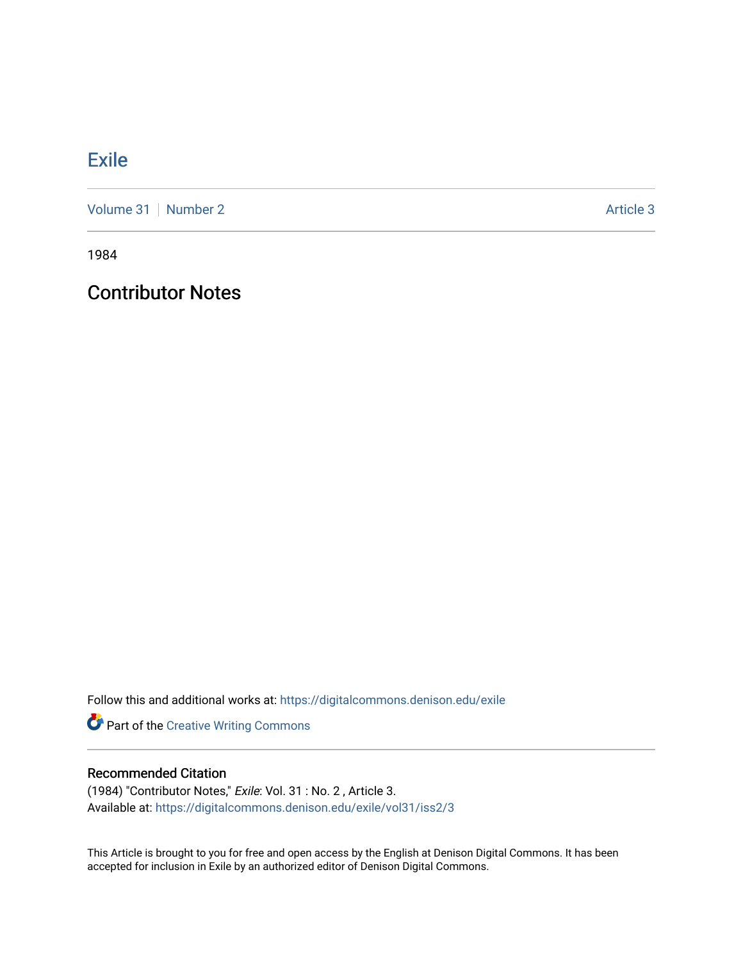## **[Exile](https://digitalcommons.denison.edu/exile)**

[Volume 31](https://digitalcommons.denison.edu/exile/vol31) [Number 2](https://digitalcommons.denison.edu/exile/vol31/iss2) Article 3

1984

Contributor Notes

Follow this and additional works at: [https://digitalcommons.denison.edu/exile](https://digitalcommons.denison.edu/exile?utm_source=digitalcommons.denison.edu%2Fexile%2Fvol31%2Fiss2%2F3&utm_medium=PDF&utm_campaign=PDFCoverPages) 

Part of the [Creative Writing Commons](http://network.bepress.com/hgg/discipline/574?utm_source=digitalcommons.denison.edu%2Fexile%2Fvol31%2Fiss2%2F3&utm_medium=PDF&utm_campaign=PDFCoverPages) 

## Recommended Citation

(1984) "Contributor Notes," Exile: Vol. 31 : No. 2 , Article 3. Available at: [https://digitalcommons.denison.edu/exile/vol31/iss2/3](https://digitalcommons.denison.edu/exile/vol31/iss2/3?utm_source=digitalcommons.denison.edu%2Fexile%2Fvol31%2Fiss2%2F3&utm_medium=PDF&utm_campaign=PDFCoverPages) 

This Article is brought to you for free and open access by the English at Denison Digital Commons. It has been accepted for inclusion in Exile by an authorized editor of Denison Digital Commons.